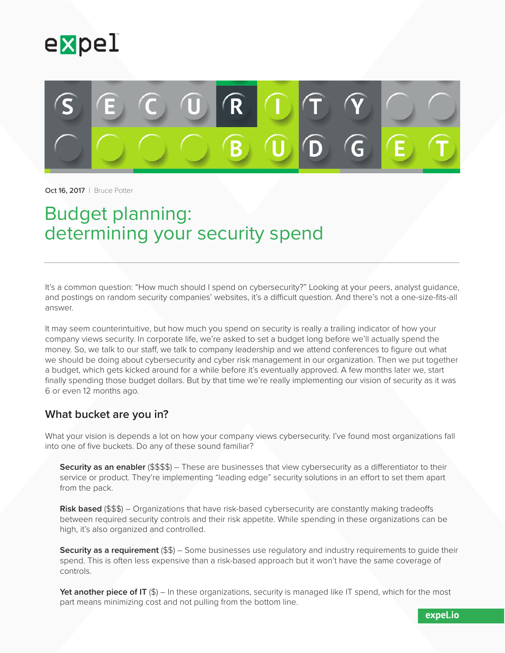



Oct 16, 2017 | Bruce Potter

# Budget planning: determining your security spend

It's a common question: "How much should I spend on cybersecurity?" Looking at your peers, analyst guidance, and postings on random security companies' websites, it's a difficult question. And there's not a one-size-fits-all answer.

It may seem counterintuitive, but how much you spend on security is really a trailing indicator of how your company views security. In corporate life, we're asked to set a budget long before we'll actually spend the money. So, we talk to our staff, we talk to company leadership and we attend conferences to figure out what we should be doing about cybersecurity and cyber risk management in our organization. Then we put together a budget, which gets kicked around for a while before it's eventually approved. A few months later we, start finally spending those budget dollars. But by that time we're really implementing our vision of security as it was 6 or even 12 months ago.

#### **What bucket are you in?**

What your vision is depends a lot on how your company views cybersecurity. I've found most organizations fall into one of five buckets. Do any of these sound familiar?

**Security as an enabler** (\$\$\$\$) – These are businesses that view cybersecurity as a differentiator to their service or product. They're implementing "leading edge" security solutions in an effort to set them apart from the pack.

**Risk based** (\$\$\$) – Organizations that have risk-based cybersecurity are constantly making tradeoffs between required security controls and their risk appetite. While spending in these organizations can be high, it's also organized and controlled.

**Security as a requirement** (\$\$) – Some businesses use regulatory and industry requirements to quide their spend. This is often less expensive than a risk-based approach but it won't have the same coverage of controls.

**Yet another piece of IT** (\$) – In these organizations, security is managed like IT spend, which for the most part means minimizing cost and not pulling from the bottom line.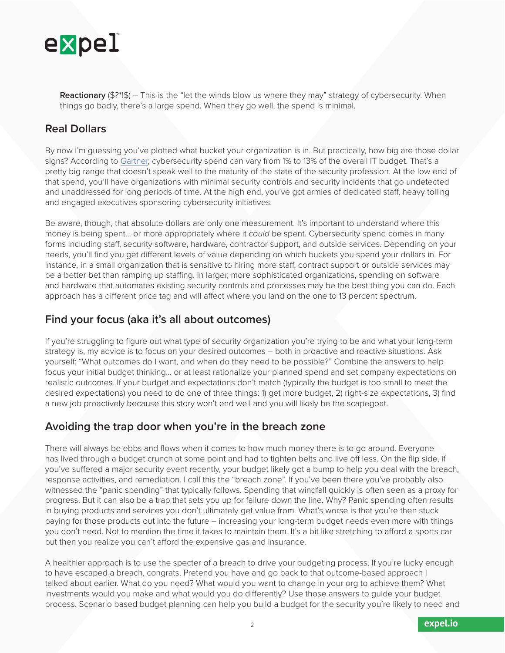

**Reactionary** (\$?\*!\$) – This is the "let the winds blow us where they may" strategy of cybersecurity. When things go badly, there's a large spend. When they go well, the spend is minimal.

## **Real Dollars**

By now I'm guessing you've plotted what bucket your organization is in. But practically, how big are those dollar signs? According to [Gartner](http://www.gartner.com/newsroom/id/3539117), cybersecurity spend can vary from 1% to 13% of the overall IT budget. That's a pretty big range that doesn't speak well to the maturity of the state of the security profession. At the low end of that spend, you'll have organizations with minimal security controls and security incidents that go undetected and unaddressed for long periods of time. At the high end, you've got armies of dedicated staff, heavy tolling and engaged executives sponsoring cybersecurity initiatives.

Be aware, though, that absolute dollars are only one measurement. It's important to understand where this money is being spent… or more appropriately where it *could* be spent. Cybersecurity spend comes in many forms including staff, security software, hardware, contractor support, and outside services. Depending on your needs, you'll find you get different levels of value depending on which buckets you spend your dollars in. For instance, in a small organization that is sensitive to hiring more staff, contract support or outside services may be a better bet than ramping up staffing. In larger, more sophisticated organizations, spending on software and hardware that automates existing security controls and processes may be the best thing you can do. Each approach has a different price tag and will affect where you land on the one to 13 percent spectrum.

#### **Find your focus (aka it's all about outcomes)**

If you're struggling to figure out what type of security organization you're trying to be and what your long-term strategy is, my advice is to focus on your desired outcomes – both in proactive and reactive situations. Ask yourself: "What outcomes do I want, and when do they need to be possible?" Combine the answers to help focus your initial budget thinking… or at least rationalize your planned spend and set company expectations on realistic outcomes. If your budget and expectations don't match (typically the budget is too small to meet the desired expectations) you need to do one of three things: 1) get more budget, 2) right-size expectations, 3) find a new job proactively because this story won't end well and you will likely be the scapegoat.

### **Avoiding the trap door when you're in the breach zone**

There will always be ebbs and flows when it comes to how much money there is to go around. Everyone has lived through a budget crunch at some point and had to tighten belts and live off less. On the flip side, if you've suffered a major security event recently, your budget likely got a bump to help you deal with the breach, response activities, and remediation. I call this the "breach zone". If you've been there you've probably also witnessed the "panic spending" that typically follows. Spending that windfall quickly is often seen as a proxy for progress. But it can also be a trap that sets you up for failure down the line. Why? Panic spending often results in buying products and services you don't ultimately get value from. What's worse is that you're then stuck paying for those products out into the future – increasing your long-term budget needs even more with things you don't need. Not to mention the time it takes to maintain them. It's a bit like stretching to afford a sports car but then you realize you can't afford the expensive gas and insurance.

A healthier approach is to use the specter of a breach to drive your budgeting process. If you're lucky enough to have escaped a breach, congrats. Pretend you have and go back to that outcome-based approach I talked about earlier. What do you need? What would you want to change in your org to achieve them? What investments would you make and what would you do differently? Use those answers to guide your budget process. Scenario based budget planning can help you build a budget for the security you're likely to need and